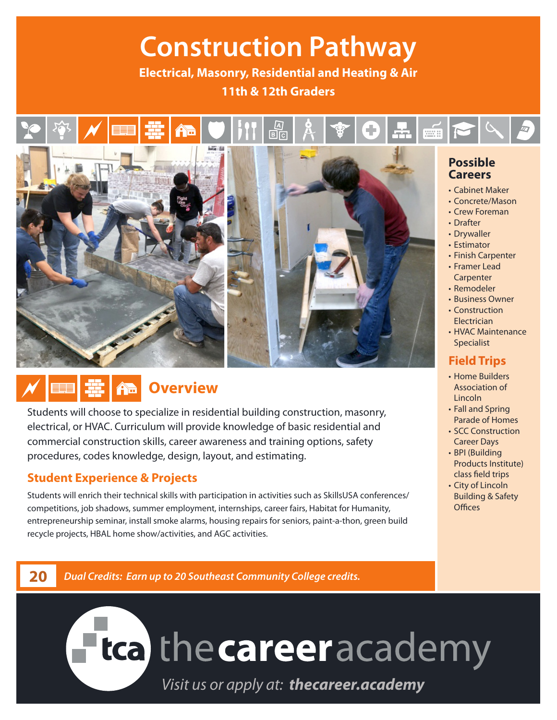## **Construction Pathway**

**Electrical, Masonry, Residential and Heating & Air 11th & 12th Graders**

## ।<br>बाह



### *f* **Overview**

Students will choose to specialize in residential building construction, masonry, electrical, or HVAC. Curriculum will provide knowledge of basic residential and commercial construction skills, career awareness and training options, safety procedures, codes knowledge, design, layout, and estimating.

#### **Student Experience & Projects**

Students will enrich their technical skills with participation in activities such as SkillsUSA conferences/ competitions, job shadows, summer employment, internships, career fairs, Habitat for Humanity, entrepreneurship seminar, install smoke alarms, housing repairs for seniors, paint-a-thon, green build recycle projects, HBAL home show/activities, and AGC activities.

#### **Possible Careers**

- Cabinet Maker
- Concrete/Mason
- Crew Foreman
- Drafter
- Drywaller
- Estimator
- Finish Carpenter
- Framer Lead **Carpenter**
- Remodeler
- Business Owner • Construction Electrician
- HVAC Maintenance Specialist

#### **Field Trips**

- Home Builders Association of Lincoln
- Fall and Spring Parade of Homes
- SCC Construction Career Days
- BPI (Building Products Institute) class field trips
- City of Lincoln Building & Safety **Offices**

**20** *Dual Credits: Earn up to 20 Southeast Community College credits.*

# **Fica** the career academy

*Visit us or apply at: thecareer.academy*